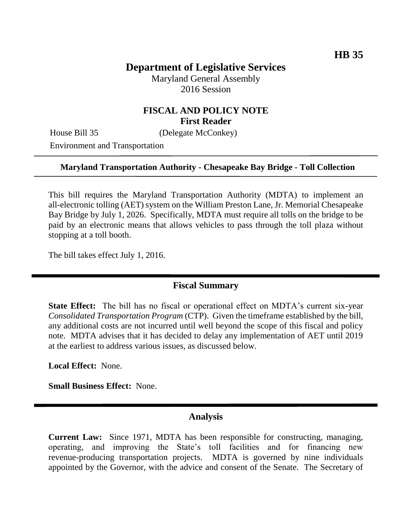# **Department of Legislative Services**

Maryland General Assembly 2016 Session

## **FISCAL AND POLICY NOTE First Reader**

House Bill 35 (Delegate McConkey)

Environment and Transportation

#### **Maryland Transportation Authority - Chesapeake Bay Bridge - Toll Collection**

This bill requires the Maryland Transportation Authority (MDTA) to implement an all-electronic tolling (AET) system on the William Preston Lane, Jr. Memorial Chesapeake Bay Bridge by July 1, 2026. Specifically, MDTA must require all tolls on the bridge to be paid by an electronic means that allows vehicles to pass through the toll plaza without stopping at a toll booth.

The bill takes effect July 1, 2016.

#### **Fiscal Summary**

**State Effect:** The bill has no fiscal or operational effect on MDTA's current six-year *Consolidated Transportation Program* (CTP). Given the timeframe established by the bill, any additional costs are not incurred until well beyond the scope of this fiscal and policy note. MDTA advises that it has decided to delay any implementation of AET until 2019 at the earliest to address various issues, as discussed below.

**Local Effect:** None.

**Small Business Effect:** None.

### **Analysis**

**Current Law:** Since 1971, MDTA has been responsible for constructing, managing, operating, and improving the State's toll facilities and for financing new revenue-producing transportation projects. MDTA is governed by nine individuals appointed by the Governor, with the advice and consent of the Senate. The Secretary of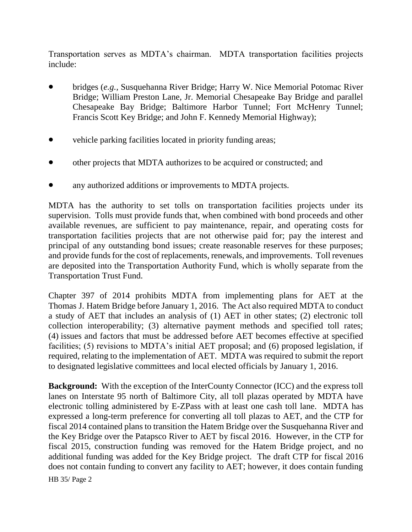Transportation serves as MDTA's chairman. MDTA transportation facilities projects include:

- bridges (*e.g.,* Susquehanna River Bridge; Harry W. Nice Memorial Potomac River Bridge; William Preston Lane, Jr. Memorial Chesapeake Bay Bridge and parallel Chesapeake Bay Bridge; Baltimore Harbor Tunnel; Fort McHenry Tunnel; Francis Scott Key Bridge; and John F. Kennedy Memorial Highway);
- vehicle parking facilities located in priority funding areas;
- other projects that MDTA authorizes to be acquired or constructed; and
- any authorized additions or improvements to MDTA projects.

MDTA has the authority to set tolls on transportation facilities projects under its supervision. Tolls must provide funds that, when combined with bond proceeds and other available revenues, are sufficient to pay maintenance, repair, and operating costs for transportation facilities projects that are not otherwise paid for; pay the interest and principal of any outstanding bond issues; create reasonable reserves for these purposes; and provide funds for the cost of replacements, renewals, and improvements. Toll revenues are deposited into the Transportation Authority Fund, which is wholly separate from the Transportation Trust Fund.

Chapter 397 of 2014 prohibits MDTA from implementing plans for AET at the Thomas J. Hatem Bridge before January 1, 2016. The Act also required MDTA to conduct a study of AET that includes an analysis of (1) AET in other states; (2) electronic toll collection interoperability; (3) alternative payment methods and specified toll rates; (4) issues and factors that must be addressed before AET becomes effective at specified facilities; (5) revisions to MDTA's initial AET proposal; and (6) proposed legislation, if required, relating to the implementation of AET. MDTA was required to submit the report to designated legislative committees and local elected officials by January 1, 2016.

**Background:** With the exception of the InterCounty Connector (ICC) and the express toll lanes on Interstate 95 north of Baltimore City, all toll plazas operated by MDTA have electronic tolling administered by E-ZPass with at least one cash toll lane. MDTA has expressed a long-term preference for converting all toll plazas to AET, and the CTP for fiscal 2014 contained plans to transition the Hatem Bridge over the Susquehanna River and the Key Bridge over the Patapsco River to AET by fiscal 2016. However, in the CTP for fiscal 2015, construction funding was removed for the Hatem Bridge project, and no additional funding was added for the Key Bridge project. The draft CTP for fiscal 2016 does not contain funding to convert any facility to AET; however, it does contain funding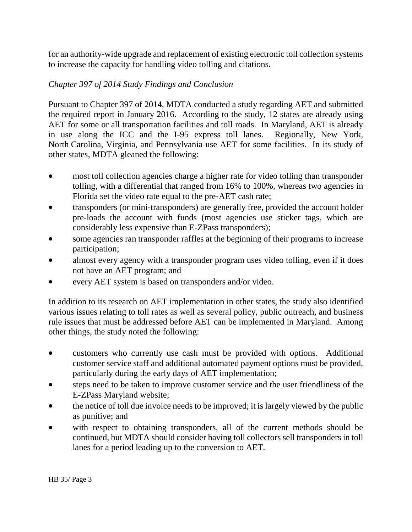for an authority-wide upgrade and replacement of existing electronic toll collection systems to increase the capacity for handling video tolling and citations.

### *Chapter 397 of 2014 Study Findings and Conclusion*

Pursuant to Chapter 397 of 2014, MDTA conducted a study regarding AET and submitted the required report in January 2016. According to the study, 12 states are already using AET for some or all transportation facilities and toll roads. In Maryland, AET is already in use along the ICC and the I-95 express toll lanes. Regionally, New York, North Carolina, Virginia, and Pennsylvania use AET for some facilities. In its study of other states, MDTA gleaned the following:

- most toll collection agencies charge a higher rate for video tolling than transponder tolling, with a differential that ranged from 16% to 100%, whereas two agencies in Florida set the video rate equal to the pre-AET cash rate;
- transponders (or mini-transponders) are generally free, provided the account holder pre-loads the account with funds (most agencies use sticker tags, which are considerably less expensive than E-ZPass transponders);
- some agencies ran transponder raffles at the beginning of their programs to increase participation;
- almost every agency with a transponder program uses video tolling, even if it does not have an AET program; and
- every AET system is based on transponders and/or video.

In addition to its research on AET implementation in other states, the study also identified various issues relating to toll rates as well as several policy, public outreach, and business rule issues that must be addressed before AET can be implemented in Maryland. Among other things, the study noted the following:

- customers who currently use cash must be provided with options. Additional customer service staff and additional automated payment options must be provided, particularly during the early days of AET implementation;
- steps need to be taken to improve customer service and the user friendliness of the E-ZPass Maryland website;
- the notice of toll due invoice needs to be improved; it is largely viewed by the public as punitive; and
- with respect to obtaining transponders, all of the current methods should be continued, but MDTA should consider having toll collectors sell transponders in toll lanes for a period leading up to the conversion to AET.